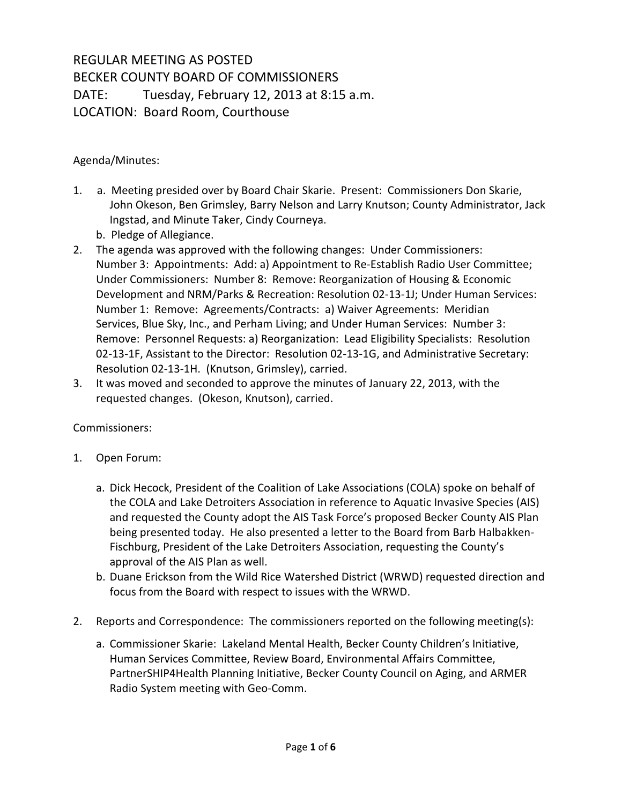## REGULAR MEETING AS POSTED BECKER COUNTY BOARD OF COMMISSIONERS DATE: Tuesday, February 12, 2013 at 8:15 a.m. LOCATION: Board Room, Courthouse

## Agenda/Minutes:

- 1. a. Meeting presided over by Board Chair Skarie. Present: Commissioners Don Skarie, John Okeson, Ben Grimsley, Barry Nelson and Larry Knutson; County Administrator, Jack Ingstad, and Minute Taker, Cindy Courneya.
	- b. Pledge of Allegiance.
- 2. The agenda was approved with the following changes: Under Commissioners: Number 3: Appointments: Add: a) Appointment to Re-Establish Radio User Committee; Under Commissioners: Number 8: Remove: Reorganization of Housing & Economic Development and NRM/Parks & Recreation: Resolution 02-13-1J; Under Human Services: Number 1: Remove: Agreements/Contracts: a) Waiver Agreements: Meridian Services, Blue Sky, Inc., and Perham Living; and Under Human Services: Number 3: Remove: Personnel Requests: a) Reorganization: Lead Eligibility Specialists: Resolution 02-13-1F, Assistant to the Director: Resolution 02-13-1G, and Administrative Secretary: Resolution 02-13-1H. (Knutson, Grimsley), carried.
- 3. It was moved and seconded to approve the minutes of January 22, 2013, with the requested changes. (Okeson, Knutson), carried.

## Commissioners:

- 1. Open Forum:
	- a. Dick Hecock, President of the Coalition of Lake Associations (COLA) spoke on behalf of the COLA and Lake Detroiters Association in reference to Aquatic Invasive Species (AIS) and requested the County adopt the AIS Task Force's proposed Becker County AIS Plan being presented today. He also presented a letter to the Board from Barb Halbakken-Fischburg, President of the Lake Detroiters Association, requesting the County's approval of the AIS Plan as well.
	- b. Duane Erickson from the Wild Rice Watershed District (WRWD) requested direction and focus from the Board with respect to issues with the WRWD.
- 2. Reports and Correspondence: The commissioners reported on the following meeting(s):
	- a. Commissioner Skarie: Lakeland Mental Health, Becker County Children's Initiative, Human Services Committee, Review Board, Environmental Affairs Committee, PartnerSHIP4Health Planning Initiative, Becker County Council on Aging, and ARMER Radio System meeting with Geo-Comm.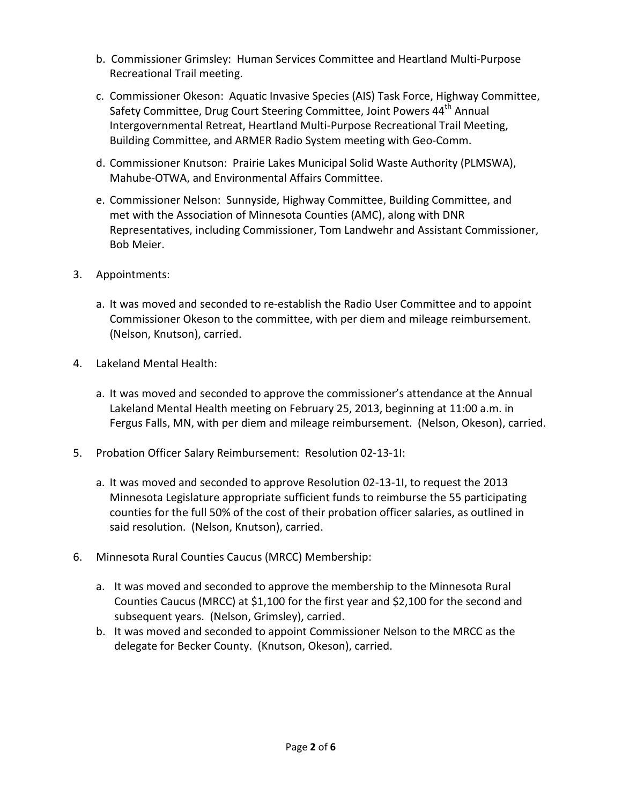- b. Commissioner Grimsley: Human Services Committee and Heartland Multi-Purpose Recreational Trail meeting.
- c. Commissioner Okeson: Aquatic Invasive Species (AIS) Task Force, Highway Committee, Safety Committee, Drug Court Steering Committee, Joint Powers 44<sup>th</sup> Annual Intergovernmental Retreat, Heartland Multi-Purpose Recreational Trail Meeting, Building Committee, and ARMER Radio System meeting with Geo-Comm.
- d. Commissioner Knutson: Prairie Lakes Municipal Solid Waste Authority (PLMSWA), Mahube-OTWA, and Environmental Affairs Committee.
- e. Commissioner Nelson: Sunnyside, Highway Committee, Building Committee, and met with the Association of Minnesota Counties (AMC), along with DNR Representatives, including Commissioner, Tom Landwehr and Assistant Commissioner, Bob Meier.
- 3. Appointments:
	- a. It was moved and seconded to re-establish the Radio User Committee and to appoint Commissioner Okeson to the committee, with per diem and mileage reimbursement. (Nelson, Knutson), carried.
- 4. Lakeland Mental Health:
	- a. It was moved and seconded to approve the commissioner's attendance at the Annual Lakeland Mental Health meeting on February 25, 2013, beginning at 11:00 a.m. in Fergus Falls, MN, with per diem and mileage reimbursement. (Nelson, Okeson), carried.
- 5. Probation Officer Salary Reimbursement: Resolution 02-13-1I:
	- a. It was moved and seconded to approve Resolution 02-13-1I, to request the 2013 Minnesota Legislature appropriate sufficient funds to reimburse the 55 participating counties for the full 50% of the cost of their probation officer salaries, as outlined in said resolution. (Nelson, Knutson), carried.
- 6. Minnesota Rural Counties Caucus (MRCC) Membership:
	- a. It was moved and seconded to approve the membership to the Minnesota Rural Counties Caucus (MRCC) at \$1,100 for the first year and \$2,100 for the second and subsequent years. (Nelson, Grimsley), carried.
	- b. It was moved and seconded to appoint Commissioner Nelson to the MRCC as the delegate for Becker County. (Knutson, Okeson), carried.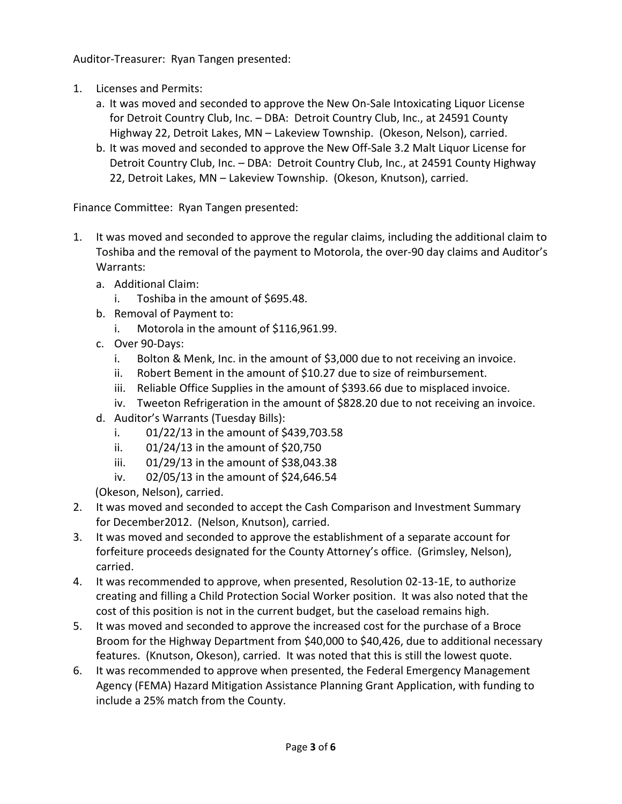Auditor-Treasurer: Ryan Tangen presented:

- 1. Licenses and Permits:
	- a. It was moved and seconded to approve the New On-Sale Intoxicating Liquor License for Detroit Country Club, Inc. – DBA: Detroit Country Club, Inc., at 24591 County Highway 22, Detroit Lakes, MN – Lakeview Township. (Okeson, Nelson), carried.
	- b. It was moved and seconded to approve the New Off-Sale 3.2 Malt Liquor License for Detroit Country Club, Inc. – DBA: Detroit Country Club, Inc., at 24591 County Highway 22, Detroit Lakes, MN – Lakeview Township. (Okeson, Knutson), carried.

Finance Committee: Ryan Tangen presented:

- 1. It was moved and seconded to approve the regular claims, including the additional claim to Toshiba and the removal of the payment to Motorola, the over-90 day claims and Auditor's Warrants:
	- a. Additional Claim:
		- i. Toshiba in the amount of \$695.48.
	- b. Removal of Payment to:
		- i. Motorola in the amount of \$116,961.99.
	- c. Over 90-Days:
		- i. Bolton & Menk, Inc. in the amount of \$3,000 due to not receiving an invoice.
		- ii. Robert Bement in the amount of \$10.27 due to size of reimbursement.
		- iii. Reliable Office Supplies in the amount of \$393.66 due to misplaced invoice.
		- iv. Tweeton Refrigeration in the amount of \$828.20 due to not receiving an invoice.
	- d. Auditor's Warrants (Tuesday Bills):
		- i. 01/22/13 in the amount of \$439,703.58
		- ii. 01/24/13 in the amount of \$20,750
		- iii. 01/29/13 in the amount of \$38,043.38
		- iv. 02/05/13 in the amount of \$24,646.54

(Okeson, Nelson), carried.

- 2. It was moved and seconded to accept the Cash Comparison and Investment Summary for December2012. (Nelson, Knutson), carried.
- 3. It was moved and seconded to approve the establishment of a separate account for forfeiture proceeds designated for the County Attorney's office. (Grimsley, Nelson), carried.
- 4. It was recommended to approve, when presented, Resolution 02-13-1E, to authorize creating and filling a Child Protection Social Worker position. It was also noted that the cost of this position is not in the current budget, but the caseload remains high.
- 5. It was moved and seconded to approve the increased cost for the purchase of a Broce Broom for the Highway Department from \$40,000 to \$40,426, due to additional necessary features. (Knutson, Okeson), carried. It was noted that this is still the lowest quote.
- 6. It was recommended to approve when presented, the Federal Emergency Management Agency (FEMA) Hazard Mitigation Assistance Planning Grant Application, with funding to include a 25% match from the County.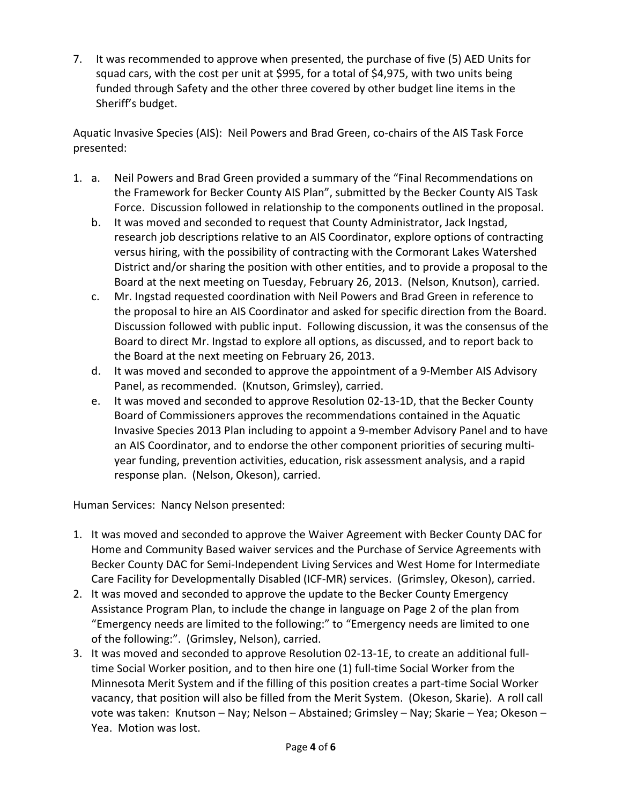7. It was recommended to approve when presented, the purchase of five (5) AED Units for squad cars, with the cost per unit at \$995, for a total of \$4,975, with two units being funded through Safety and the other three covered by other budget line items in the Sheriff's budget.

Aquatic Invasive Species (AIS): Neil Powers and Brad Green, co-chairs of the AIS Task Force presented:

- 1. a. Neil Powers and Brad Green provided a summary of the "Final Recommendations on the Framework for Becker County AIS Plan", submitted by the Becker County AIS Task Force. Discussion followed in relationship to the components outlined in the proposal.
	- b. It was moved and seconded to request that County Administrator, Jack Ingstad, research job descriptions relative to an AIS Coordinator, explore options of contracting versus hiring, with the possibility of contracting with the Cormorant Lakes Watershed District and/or sharing the position with other entities, and to provide a proposal to the Board at the next meeting on Tuesday, February 26, 2013. (Nelson, Knutson), carried.
	- c. Mr. Ingstad requested coordination with Neil Powers and Brad Green in reference to the proposal to hire an AIS Coordinator and asked for specific direction from the Board. Discussion followed with public input. Following discussion, it was the consensus of the Board to direct Mr. Ingstad to explore all options, as discussed, and to report back to the Board at the next meeting on February 26, 2013.
	- d. It was moved and seconded to approve the appointment of a 9-Member AIS Advisory Panel, as recommended. (Knutson, Grimsley), carried.
	- e. It was moved and seconded to approve Resolution 02-13-1D, that the Becker County Board of Commissioners approves the recommendations contained in the Aquatic Invasive Species 2013 Plan including to appoint a 9-member Advisory Panel and to have an AIS Coordinator, and to endorse the other component priorities of securing multiyear funding, prevention activities, education, risk assessment analysis, and a rapid response plan. (Nelson, Okeson), carried.

Human Services: Nancy Nelson presented:

- 1. It was moved and seconded to approve the Waiver Agreement with Becker County DAC for Home and Community Based waiver services and the Purchase of Service Agreements with Becker County DAC for Semi-Independent Living Services and West Home for Intermediate Care Facility for Developmentally Disabled (ICF-MR) services. (Grimsley, Okeson), carried.
- 2. It was moved and seconded to approve the update to the Becker County Emergency Assistance Program Plan, to include the change in language on Page 2 of the plan from "Emergency needs are limited to the following:" to "Emergency needs are limited to one of the following:". (Grimsley, Nelson), carried.
- 3. It was moved and seconded to approve Resolution 02-13-1E, to create an additional fulltime Social Worker position, and to then hire one (1) full-time Social Worker from the Minnesota Merit System and if the filling of this position creates a part-time Social Worker vacancy, that position will also be filled from the Merit System. (Okeson, Skarie). A roll call vote was taken: Knutson – Nay; Nelson – Abstained; Grimsley – Nay; Skarie – Yea; Okeson – Yea. Motion was lost.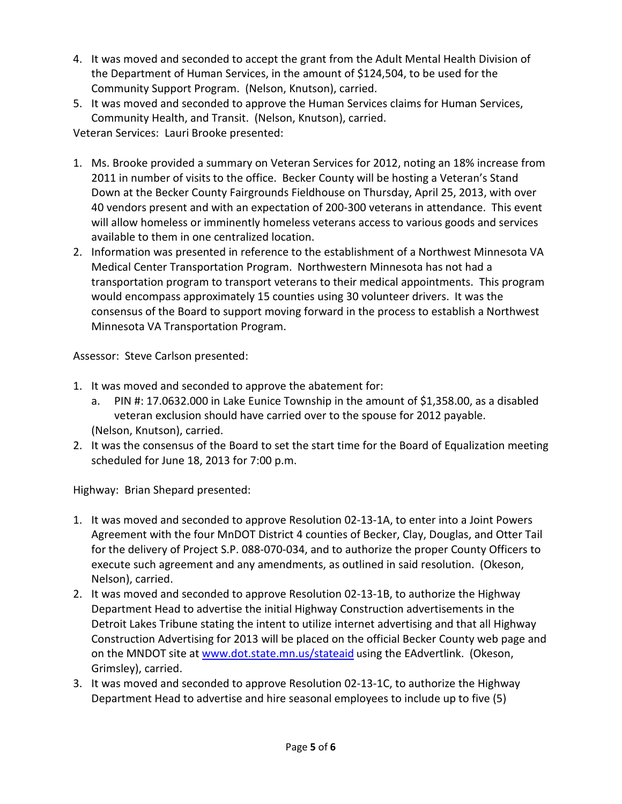- 4. It was moved and seconded to accept the grant from the Adult Mental Health Division of the Department of Human Services, in the amount of \$124,504, to be used for the Community Support Program. (Nelson, Knutson), carried.
- 5. It was moved and seconded to approve the Human Services claims for Human Services, Community Health, and Transit. (Nelson, Knutson), carried.

Veteran Services: Lauri Brooke presented:

- 1. Ms. Brooke provided a summary on Veteran Services for 2012, noting an 18% increase from 2011 in number of visits to the office. Becker County will be hosting a Veteran's Stand Down at the Becker County Fairgrounds Fieldhouse on Thursday, April 25, 2013, with over 40 vendors present and with an expectation of 200-300 veterans in attendance. This event will allow homeless or imminently homeless veterans access to various goods and services available to them in one centralized location.
- 2. Information was presented in reference to the establishment of a Northwest Minnesota VA Medical Center Transportation Program. Northwestern Minnesota has not had a transportation program to transport veterans to their medical appointments. This program would encompass approximately 15 counties using 30 volunteer drivers. It was the consensus of the Board to support moving forward in the process to establish a Northwest Minnesota VA Transportation Program.

Assessor: Steve Carlson presented:

- 1. It was moved and seconded to approve the abatement for:
	- a. PIN #: 17.0632.000 in Lake Eunice Township in the amount of \$1,358.00, as a disabled veteran exclusion should have carried over to the spouse for 2012 payable. (Nelson, Knutson), carried.
- 2. It was the consensus of the Board to set the start time for the Board of Equalization meeting scheduled for June 18, 2013 for 7:00 p.m.

Highway: Brian Shepard presented:

- 1. It was moved and seconded to approve Resolution 02-13-1A, to enter into a Joint Powers Agreement with the four MnDOT District 4 counties of Becker, Clay, Douglas, and Otter Tail for the delivery of Project S.P. 088-070-034, and to authorize the proper County Officers to execute such agreement and any amendments, as outlined in said resolution. (Okeson, Nelson), carried.
- 2. It was moved and seconded to approve Resolution 02-13-1B, to authorize the Highway Department Head to advertise the initial Highway Construction advertisements in the Detroit Lakes Tribune stating the intent to utilize internet advertising and that all Highway Construction Advertising for 2013 will be placed on the official Becker County web page and on the MNDOT site at [www.dot.state.mn.us/stateaid](http://www.dot.state.mn.us/stateaid) using the EAdvertlink. (Okeson, Grimsley), carried.
- 3. It was moved and seconded to approve Resolution 02-13-1C, to authorize the Highway Department Head to advertise and hire seasonal employees to include up to five (5)